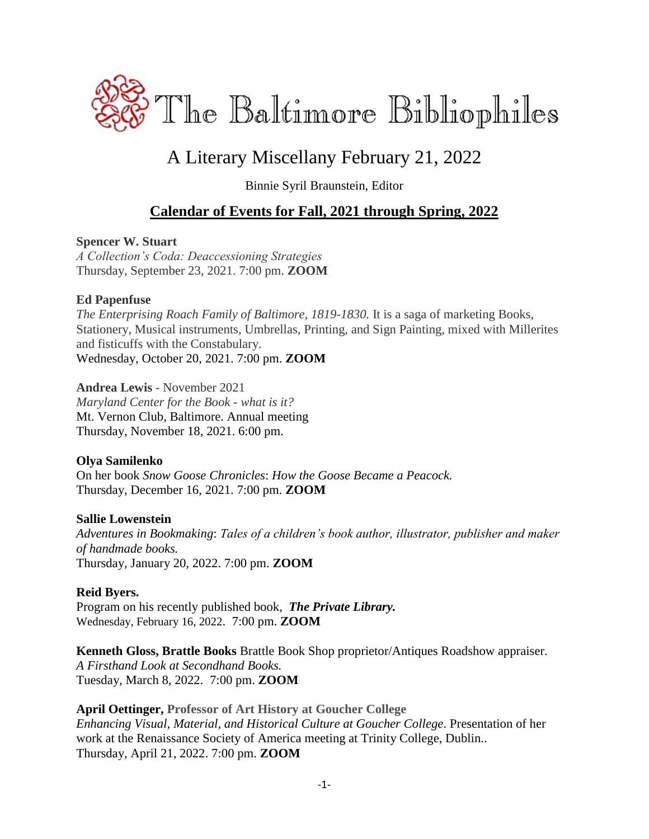

# A Literary Miscellany February 21, 2022

Binnie Syril Braunstein, Editor

### **Calendar of Events for Fall, 2021 through Spring, 2022**

#### **Spencer W. Stuart**

*A Collection's Coda: Deaccessioning Strategies* Thursday, September 23, 2021. 7:00 pm. **ZOOM**

#### **Ed Papenfuse**

*The Enterprising Roach Family of Baltimore, 1819-1830.* It is a saga of marketing Books, Stationery, Musical instruments, Umbrellas, Printing, and Sign Painting, mixed with Millerites and fisticuffs with the Constabulary. Wednesday, October 20, 2021. 7:00 pm. **ZOOM**

**Andrea Lewis** - November 2021 *Maryland Center for the Book - what is it?* Mt. Vernon Club, Baltimore. Annual meeting Thursday, November 18, 2021. 6:00 pm.

#### **Olya Samilenko**

On her book *Snow Goose Chronicles*: *How the Goose Became a Peacock.* Thursday, December 16, 2021. 7:00 pm. **ZOOM**

#### **Sallie Lowenstein**

*Adventures in Bookmaking*: *Tales of a children's book author, illustrator, publisher and maker of handmade books.* Thursday, January 20, 2022. 7:00 pm. **ZOOM**

#### **Reid Byers.**

Program on his recently published book,*The Private Library.* Wednesday, February 16, 2022. 7:00 pm. **ZOOM**

**Kenneth Gloss, Brattle Books** Brattle Book Shop proprietor/Antiques Roadshow appraiser. *A Firsthand Look at Secondhand Books.* Tuesday, March 8, 2022. 7:00 pm. **ZOOM**

**April Oettinger, Professor of Art History at Goucher College** *Enhancing Visual, Material, and Historical Culture at Goucher College*. Presentation of her work at the Renaissance Society of America meeting at Trinity College, Dublin.. Thursday, April 21, 2022. 7:00 pm. **ZOOM**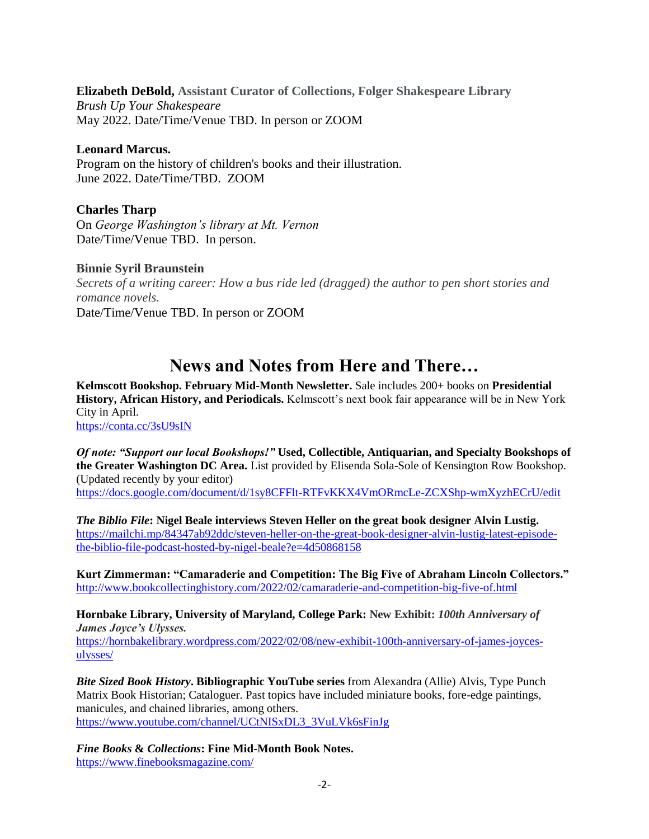**Elizabeth DeBold, Assistant Curator of Collections, Folger Shakespeare Library**

*Brush Up Your Shakespeare* May 2022. Date/Time/Venue TBD. In person or ZOOM

#### **Leonard Marcus.**

Program on the history of children's books and their illustration. June 2022. Date/Time/TBD. ZOOM

#### **Charles Tharp**

On *George Washington's library at Mt. Vernon* Date/Time/Venue TBD. In person.

#### **Binnie Syril Braunstein**

*Secrets of a writing career: How a bus ride led (dragged) the author to pen short stories and romance novels.* Date/Time/Venue TBD. In person or ZOOM

## **News and Notes from Here and There…**

**Kelmscott Bookshop. February Mid-Month Newsletter.** Sale includes 200+ books on **Presidential History, African History, and Periodicals.** Kelmscott's next book fair appearance will be in New York City in April.

<https://conta.cc/3sU9sIN>

*Of note: "Support our local Bookshops!"* **Used, Collectible, Antiquarian, and Specialty Bookshops of the Greater Washington DC Area.** List provided by Elisenda Sola-Sole of Kensington Row Bookshop. (Updated recently by your editor) <https://docs.google.com/document/d/1sy8CFFlt-RTFvKKX4VmORmcLe-ZCXShp-wmXyzhECrU/edit>

*The Biblio File***: Nigel Beale interviews Steven Heller on the great book designer Alvin Lustig.** [https://mailchi.mp/84347ab92ddc/steven-heller-on-the-great-book-designer-alvin-lustig-latest-episode](https://mailchi.mp/84347ab92ddc/steven-heller-on-the-great-book-designer-alvin-lustig-latest-episode-the-biblio-file-podcast-hosted-by-nigel-beale?e=4d50868158)[the-biblio-file-podcast-hosted-by-nigel-beale?e=4d50868158](https://mailchi.mp/84347ab92ddc/steven-heller-on-the-great-book-designer-alvin-lustig-latest-episode-the-biblio-file-podcast-hosted-by-nigel-beale?e=4d50868158)

**Kurt Zimmerman: "Camaraderie and Competition: The Big Five of Abraham Lincoln Collectors."** <http://www.bookcollectinghistory.com/2022/02/camaraderie-and-competition-big-five-of.html>

**Hornbake Library, University of Maryland, College Park: New Exhibit:** *100th Anniversary of James Joyce's Ulysses.* [https://hornbakelibrary.wordpress.com/2022/02/08/new-exhibit-100th-anniversary-of-james-joyces](https://hornbakelibrary.wordpress.com/2022/02/08/new-exhibit-100th-anniversary-of-james-joyces-ulysses/)[ulysses/](https://hornbakelibrary.wordpress.com/2022/02/08/new-exhibit-100th-anniversary-of-james-joyces-ulysses/)

*Bite Sized Book History***. Bibliographic YouTube series** from Alexandra (Allie) Alvis, Type Punch Matrix Book Historian; Cataloguer. Past topics have included miniature books, fore-edge paintings, manicules, and chained libraries, among others. [https://www.youtube.com/channel/UCtNISxDL3\\_3VuLVk6sFinJg](https://www.youtube.com/channel/UCtNISxDL3_3VuLVk6sFinJg)

*Fine Books* **&** *Collections***: Fine Mid-Month Book Notes.** <https://www.finebooksmagazine.com/>